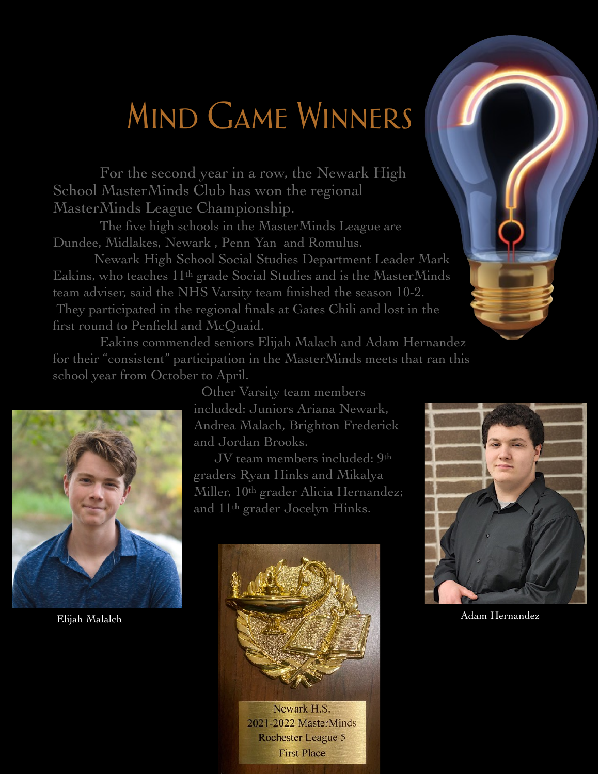## Mind Game Winners

For the second year in a row, the Newark High School MasterMinds Club has won the regional MasterMinds League Championship.

The five high schools in the MasterMinds League are Dundee, Midlakes, Newark , Penn Yan and Romulus.

 Newark High School Social Studies Department Leader Mark Eakins, who teaches 11th grade Social Studies and is the MasterMinds team adviser, said the NHS Varsity team finished the season 10-2. They participated in the regional finals at Gates Chili and lost in the first round to Penfield and McQuaid.

Eakins commended seniors Elijah Malach and Adam Hernandez for their "consistent" participation in the MasterMinds meets that ran this school year from October to April.



 Other Varsity team members included: Juniors Ariana Newark, Andrea Malach, Brighton Frederick and Jordan Brooks.

 JV team members included: 9th graders Ryan Hinks and Mikalya Miller, 10th grader Alicia Hernandez; and 11th grader Jocelyn Hinks.



Newark H.S. 2021-2022 MasterMinds Rochester League 5 **First Place**